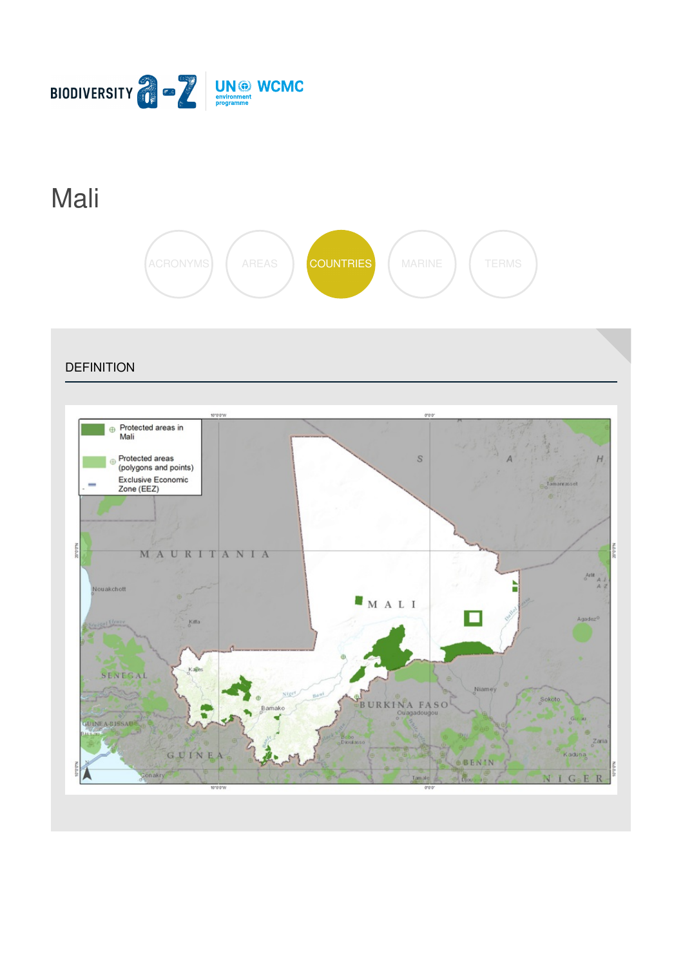

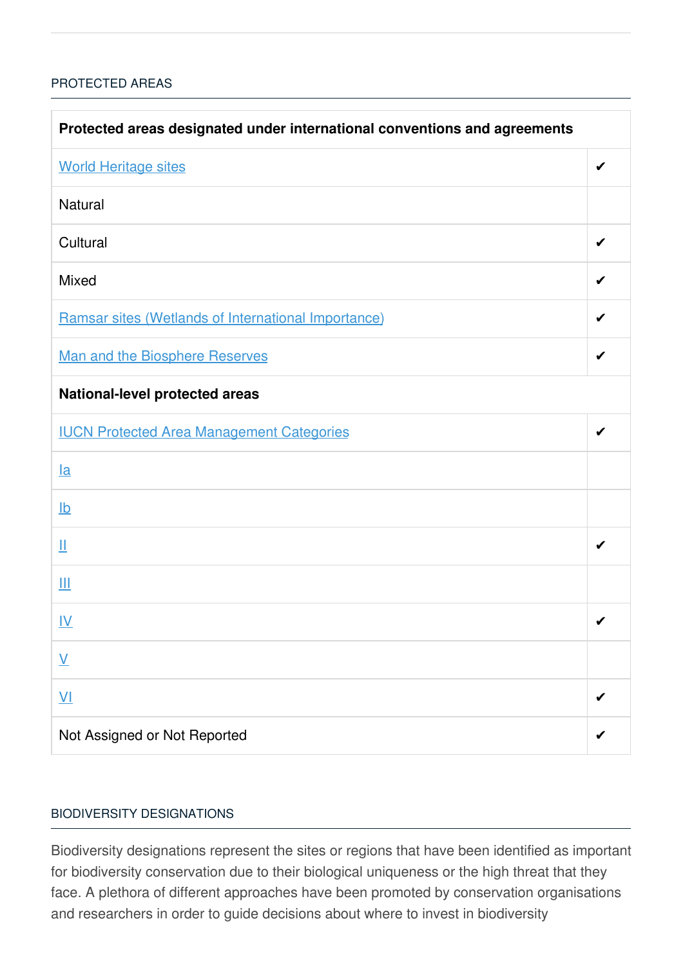### [PROTECTED](javascript:void(0)) AREAS

| Protected areas designated under international conventions and agreements |   |  |
|---------------------------------------------------------------------------|---|--|
| <b>World Heritage sites</b>                                               | ✔ |  |
| <b>Natural</b>                                                            |   |  |
| Cultural                                                                  |   |  |
| <b>Mixed</b>                                                              | ✔ |  |
| Ramsar sites (Wetlands of International Importance)                       |   |  |
| Man and the Biosphere Reserves                                            | ✔ |  |
| <b>National-level protected areas</b>                                     |   |  |
| <b>IUCN Protected Area Management Categories</b>                          | ✔ |  |
| $l$ a                                                                     |   |  |
| $\underline{\mathsf{lb}}$                                                 |   |  |
| Щ                                                                         | ✔ |  |
| Ш                                                                         |   |  |
| <u>IV</u>                                                                 | ✔ |  |
| $\underline{\mathsf{V}}$                                                  |   |  |
| $\underline{\mathsf{V}}$                                                  |   |  |
| Not Assigned or Not Reported                                              |   |  |

#### BIODIVERSITY [DESIGNATIONS](javascript:void(0))

Biodiversity designations represent the sites or regions that have been identified as important for biodiversity conservation due to their biological uniqueness or the high threat that they face. A plethora of different approaches have been promoted by conservation organisations and researchers in order to guide decisions about where to invest in biodiversity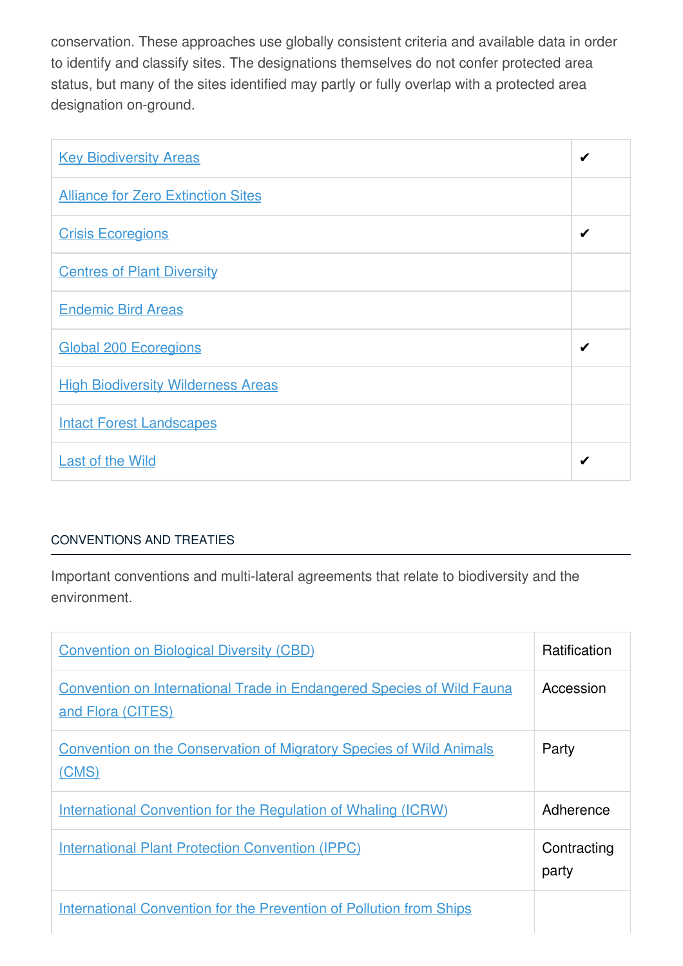conservation. These approaches use globally consistent criteria and available data in order to identify and classify sites. The designations themselves do not confer protected area status, but many of the sites identified may partly or fully overlap with a protected area designation on-ground.

| <b>Key Biodiversity Areas</b>             | ✔ |
|-------------------------------------------|---|
| <b>Alliance for Zero Extinction Sites</b> |   |
| <b>Crisis Ecoregions</b>                  | ✔ |
| <b>Centres of Plant Diversity</b>         |   |
| <b>Endemic Bird Areas</b>                 |   |
| <b>Global 200 Ecoregions</b>              | ✔ |
| <b>High Biodiversity Wilderness Areas</b> |   |
| <b>Intact Forest Landscapes</b>           |   |
| <b>Last of the Wild</b>                   | ✔ |

# [CONVENTIONS](javascript:void(0)) AND TREATIES

Important conventions and multi-lateral agreements that relate to biodiversity and the environment.

| <b>Convention on Biological Diversity (CBD)</b>                                                   | Ratification         |
|---------------------------------------------------------------------------------------------------|----------------------|
| <b>Convention on International Trade in Endangered Species of Wild Fauna</b><br>and Flora (CITES) | Accession            |
| <b>Convention on the Conservation of Migratory Species of Wild Animals</b><br>(CMS)               | Party                |
| International Convention for the Regulation of Whaling (ICRW)                                     | Adherence            |
| <b>International Plant Protection Convention (IPPC)</b>                                           | Contracting<br>party |
| <b>International Convention for the Prevention of Pollution from Ships</b>                        |                      |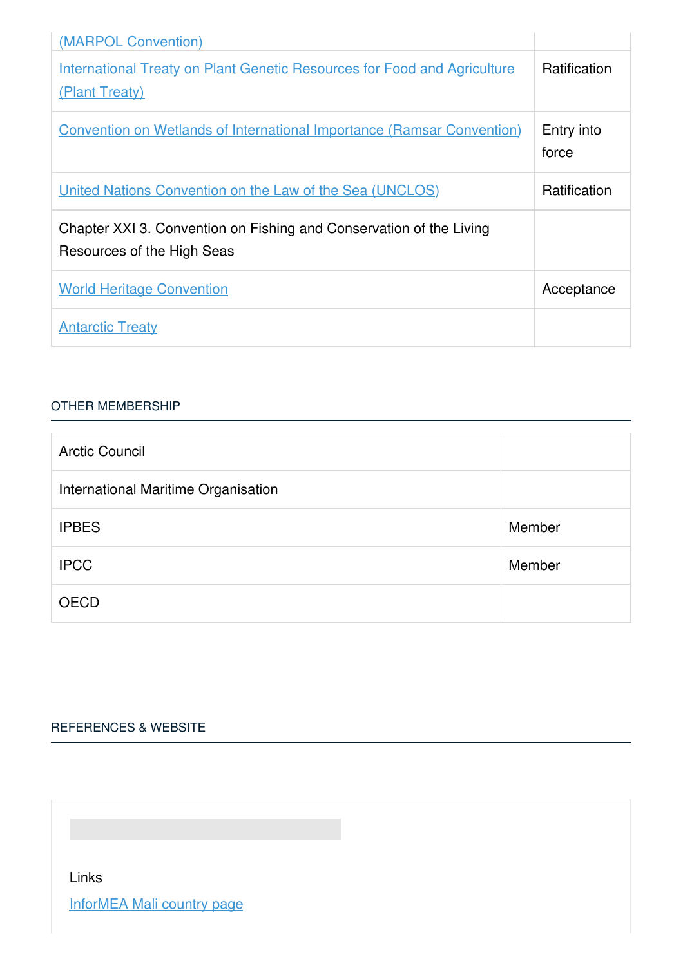| (MARPOL Convention)                                                                               |                     |
|---------------------------------------------------------------------------------------------------|---------------------|
| <b>International Treaty on Plant Genetic Resources for Food and Agriculture</b><br>(Plant Treaty) | Ratification        |
| <b>Convention on Wetlands of International Importance (Ramsar Convention)</b>                     | Entry into<br>force |
| United Nations Convention on the Law of the Sea (UNCLOS)                                          | <b>Ratification</b> |
| Chapter XXI 3. Convention on Fishing and Conservation of the Living<br>Resources of the High Seas |                     |
| <b>World Heritage Convention</b>                                                                  | Acceptance          |
| <b>Antarctic Treaty</b>                                                                           |                     |

#### OTHER [MEMBERSHIP](javascript:void(0))

| <b>Arctic Council</b>               |        |
|-------------------------------------|--------|
| International Maritime Organisation |        |
| <b>IPBES</b>                        | Member |
| <b>IPCC</b>                         | Member |
| <b>OECD</b>                         |        |

# [REFERENCES](javascript:void(0)) & WEBSITE

Links

[InforMEA](https://www.informea.org/en/countries/ML) Mali country page